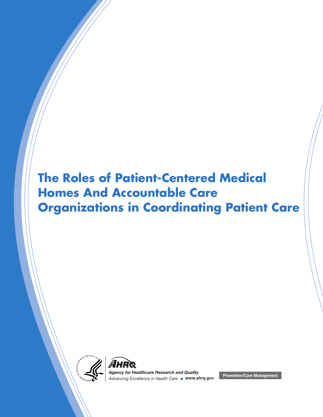# **The Roles of Patient-Centered Medical Homes And Accountable Care Organizations in Coordinating Patient Care**





*Advancing Excellence in Health Care* **www.ahrq.gov** *Agency for Healthcare Research and Quality* **Prevention/Care Management**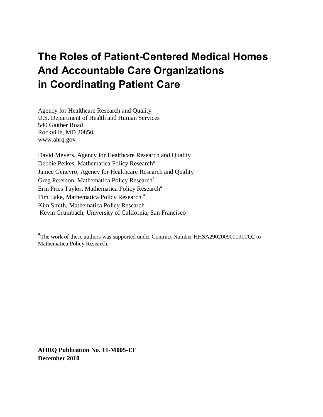# **The Roles of Patient-Centered Medical Homes And Accountable Care Organizations in Coordinating Patient Care**

Agency for Healthcare Research and Quality U.S. Department of Health and Human Services 540 Gaither Road Rockville, MD 20850 www.ahrq.gov

David Meyers, Agency for Healthcare Research and Quality Debbie Peikes, Mathematica Policy Research<sup>a</sup> Janice Genevro, Agency for Healthcare Research and Quality Greg Peterson, Mathematica Policy Research<sup>a</sup> Erin Fries Taylor, Mathematica Policy Research<sup>a</sup> Tim Lake, Mathematica Policy Research<sup>a</sup> Kim Smith, Mathematica Policy Research Kevin Grumbach, University of California, San Francisco

<sup>a</sup>The work of these authors was supported under Contract Number HHSA290200900191TO2 to Mathematica Policy Research.

**AHRQ Publication No. 11-M005-EF December 2010**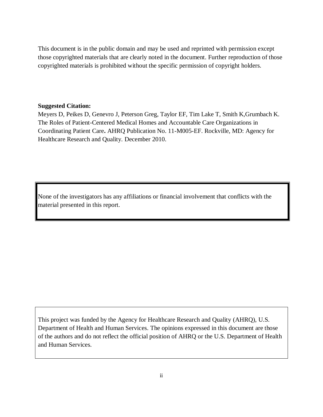This document is in the public domain and may be used and reprinted with permission except those copyrighted materials that are clearly noted in the document. Further reproduction of those copyrighted materials is prohibited without the specific permission of copyright holders.

#### **Suggested Citation:**

Meyers D, Peikes D, Genevro J, Peterson Greg, Taylor EF, Tim Lake T, Smith K,Grumbach K. The Roles of Patient-Centered Medical Homes and Accountable Care Organizations in Coordinating Patient Care**.** AHRQ Publication No. 11-M005-EF. Rockville, MD: Agency for Healthcare Research and Quality. December 2010.

None of the investigators has any affiliations or financial involvement that conflicts with the material presented in this report.

This project was funded by the Agency for Healthcare Research and Quality (AHRQ), U.S. Department of Health and Human Services. The opinions expressed in this document are those of the authors and do not reflect the official position of AHRQ or the U.S. Department of Health and Human Services.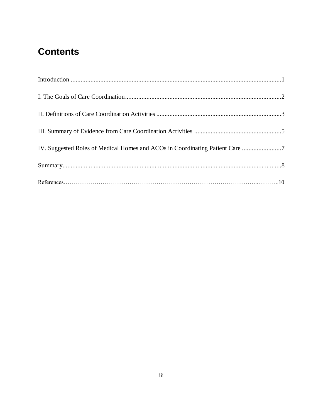# **Contents**

| IV. Suggested Roles of Medical Homes and ACOs in Coordinating Patient Care 7 |  |
|------------------------------------------------------------------------------|--|
|                                                                              |  |
|                                                                              |  |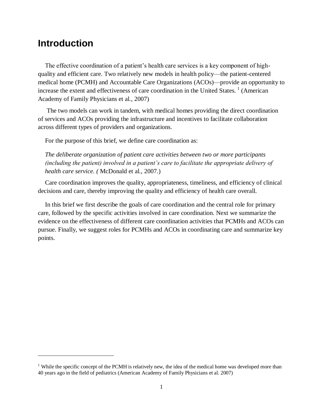### <span id="page-4-0"></span>**Introduction**

l

The effective coordination of a patient's health care services is a key component of highquality and efficient care. Two relatively new models in health policy—the patient-centered medical home (PCMH) and Accountable Care Organizations (ACOs)—provide an opportunity to increase the extent and effectiveness of care coordination in the United States.<sup>1</sup> (American Academy of Family Physicians et al., 2007)

The two models can work in tandem, with medical homes providing the direct coordination of services and ACOs providing the infrastructure and incentives to facilitate collaboration across different types of providers and organizations.

For the purpose of this brief, we define care coordination as:

*The deliberate organization of patient care activities between two or more participants (including the patient) involved in a patient's care to facilitate the appropriate delivery of health care service. (* McDonald et al., 2007.)

Care coordination improves the quality, appropriateness, timeliness, and efficiency of clinical decisions and care, thereby improving the quality and efficiency of health care overall.

In this brief we first describe the goals of care coordination and the central role for primary care, followed by the specific activities involved in care coordination. Next we summarize the evidence on the effectiveness of different care coordination activities that PCMHs and ACOs can pursue. Finally, we suggest roles for PCMHs and ACOs in coordinating care and summarize key points.

<sup>&</sup>lt;sup>1</sup> While the specific concept of the PCMH is relatively new, the idea of the medical home was developed more than 40 years ago in the field of pediatrics (American Academy of Family Physicians et al. 2007)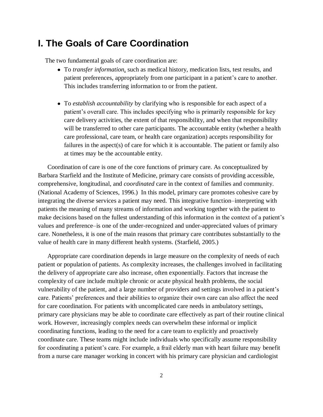### <span id="page-5-0"></span>**I. The Goals of Care Coordination**

The two fundamental goals of care coordination are:

- To *transfer information*, such as medical history, medication lists, test results, and patient preferences, appropriately from one participant in a patient's care to another. This includes transferring information to or from the patient.
- To *establish accountability* by clarifying who is responsible for each aspect of a patient's overall care. This includes specifying who is primarily responsible for key care delivery activities, the extent of that responsibility, and when that responsibility will be transferred to other care participants. The accountable entity (whether a health care professional, care team, or health care organization) accepts responsibility for failures in the aspect(s) of care for which it is accountable. The patient or family also at times may be the accountable entity.

Coordination of care is one of the core functions of primary care. As conceptualized by Barbara Starfield and the Institute of Medicine, primary care consists of providing accessible, comprehensive, longitudinal, and *coordinated* care in the context of families and community. (National Academy of Sciences, 1996.) In this model, primary care promotes cohesive care by integrating the diverse services a patient may need. This integrative function–interpreting with patients the meaning of many streams of information and working together with the patient to make decisions based on the fullest understanding of this information in the context of a patient's values and preference–is one of the under-recognized and under-appreciated values of primary care. Nonetheless, it is one of the main reasons that primary care contributes substantially to the value of health care in many different health systems. (Starfield, 2005.)

Appropriate care coordination depends in large measure on the complexity of needs of each patient or population of patients. As complexity increases, the challenges involved in facilitating the delivery of appropriate care also increase, often exponentially. Factors that increase the complexity of care include multiple chronic or acute physical health problems, the social vulnerability of the patient, and a large number of providers and settings involved in a patient's care. Patients' preferences and their abilities to organize their own care can also affect the need for care coordination. For patients with uncomplicated care needs in ambulatory settings, primary care physicians may be able to coordinate care effectively as part of their routine clinical work. However, increasingly complex needs can overwhelm these informal or implicit coordinating functions, leading to the need for a care team to explicitly and proactively coordinate care. These teams might include individuals who specifically assume responsibility for coordinating a patient's care. For example, a frail elderly man with heart failure may benefit from a nurse care manager working in concert with his primary care physician and cardiologist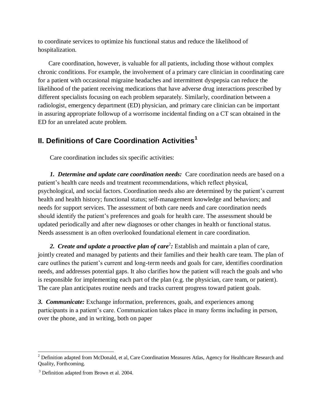to coordinate services to optimize his functional status and reduce the likelihood of hospitalization.

Care coordination, however, is valuable for all patients, including those without complex chronic conditions. For example, the involvement of a primary care clinician in coordinating care for a patient with occasional migraine headaches and intermittent dyspepsia can reduce the likelihood of the patient receiving medications that have adverse drug interactions prescribed by different specialists focusing on each problem separately. Similarly, coordination between a radiologist, emergency department (ED) physician, and primary care clinician can be important in assuring appropriate followup of a worrisome incidental finding on a CT scan obtained in the ED for an unrelated acute problem.

#### <span id="page-6-0"></span>**II. Definitions of Care Coordination Activities<sup>1</sup>**

Care coordination includes six specific activities:

*1. Determine and update care coordination needs:* Care coordination needs are based on a patient's health care needs and treatment recommendations, which reflect physical, psychological, and social factors. Coordination needs also are determined by the patient's current health and health history; functional status; self-management knowledge and behaviors; and needs for support services. The assessment of both care needs and care coordination needs should identify the patient's preferences and goals for health care. The assessment should be updated periodically and after new diagnoses or other changes in health or functional status. Needs assessment is an often overlooked foundational element in care coordination.

2. *Create and update a proactive plan of care*<sup>2</sup>: Establish and maintain a plan of care, jointly created and managed by patients and their families and their health care team. The plan of care outlines the patient's current and long-term needs and goals for care, identifies coordination needs, and addresses potential gaps. It also clarifies how the patient will reach the goals and who is responsible for implementing each part of the plan (e.g. the physician, care team, or patient). The care plan anticipates routine needs and tracks current progress toward patient goals.

*3. Communicate:* Exchange information, preferences, goals, and experiences among participants in a patient's care. Communication takes place in many forms including in person, over the phone, and in writing, both on paper

<sup>&</sup>lt;sup>2</sup> Definition adapted from McDonald, et al, Care Coordination Measures Atlas, Agency for Healthcare Research and Quality, Forthcoming.

 $3$  Definition adapted from Brown et al. 2004.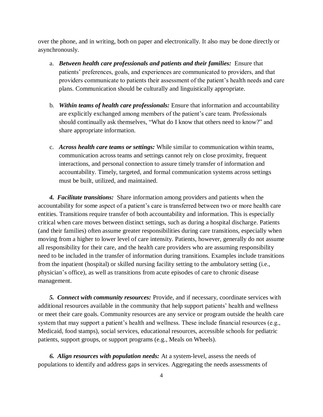over the phone, and in writing, both on paper and electronically. It also may be done directly or asynchronously.

- a. *Between health care professionals and patients and their families:* Ensure that patients' preferences, goals, and experiences are communicated to providers, and that providers communicate to patients their assessment of the patient's health needs and care plans. Communication should be culturally and linguistically appropriate.
- b. *Within teams of health care professionals:* Ensure that information and accountability are explicitly exchanged among members of the patient's care team. Professionals should continually ask themselves, "What do I know that others need to know?" and share appropriate information.
- c. *Across health care teams or settings:* While similar to communication within teams, communication across teams and settings cannot rely on close proximity, frequent interactions, and personal connection to assure timely transfer of information and accountability. Timely, targeted, and formal communication systems across settings must be built, utilized, and maintained.

*4. Facilitate transitions:* Share information among providers and patients when the accountability for some aspect of a patient's care is transferred between two or more health care entities. Transitions require transfer of both accountability and information. This is especially critical when care moves between distinct settings, such as during a hospital discharge. Patients (and their families) often assume greater responsibilities during care transitions, especially when moving from a higher to lower level of care intensity. Patients, however, generally do not assume all responsibility for their care, and the health care providers who are assuming responsibility need to be included in the transfer of information during transitions. Examples include transitions from the inpatient (hospital) or skilled nursing facility setting to the ambulatory setting (i.e., physician's office), as well as transitions from acute episodes of care to chronic disease management.

*5. Connect with community resources:* Provide, and if necessary, coordinate services with additional resources available in the community that help support patients' health and wellness or meet their care goals. Community resources are any service or program outside the health care system that may support a patient's health and wellness. These include financial resources (e.g., Medicaid, food stamps), social services, educational resources, accessible schools for pediatric patients, support groups, or support programs (e.g., Meals on Wheels).

*6. Align resources with population needs:* At a system-level, assess the needs of populations to identify and address gaps in services. Aggregating the needs assessments of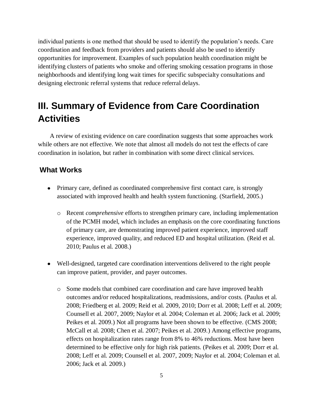individual patients is one method that should be used to identify the population's needs. Care coordination and feedback from providers and patients should also be used to identify opportunities for improvement. Examples of such population health coordination might be identifying clusters of patients who smoke and offering smoking cessation programs in those neighborhoods and identifying long wait times for specific subspecialty consultations and designing electronic referral systems that reduce referral delays.

# <span id="page-8-0"></span>**III. Summary of Evidence from Care Coordination Activities**

A review of existing evidence on care coordination suggests that some approaches work while others are not effective. We note that almost all models do not test the effects of care coordination in isolation, but rather in combination with some direct clinical services.

#### **What Works**

- Primary care, defined as coordinated comprehensive first contact care, is strongly associated with improved health and health system functioning. (Starfield, 2005.)
	- o Recent *comprehensive* efforts to strengthen primary care, including implementation of the PCMH model, which includes an emphasis on the core coordinating functions of primary care, are demonstrating improved patient experience, improved staff experience, improved quality, and reduced ED and hospital utilization. (Reid et al. 2010; Paulus et al. 2008.)
- Well-designed, targeted care coordination interventions delivered to the right people can improve patient, provider, and payer outcomes.
	- o Some models that combined care coordination and care have improved health outcomes and/or reduced hospitalizations, readmissions, and/or costs. (Paulus et al. 2008; Friedberg et al. 2009; Reid et al. 2009, 2010; Dorr et al. 2008; Leff et al. 2009; Counsell et al. 2007, 2009; Naylor et al. 2004; Coleman et al. 2006; Jack et al. 2009; Peikes et al. 2009.) Not all programs have been shown to be effective. (CMS 2008; McCall et al. 2008; Chen et al. 2007; Peikes et al. 2009.) Among effective programs, effects on hospitalization rates range from 8% to 46% reductions. Most have been determined to be effective only for high risk patients. (Peikes et al. 2009; Dorr et al. 2008; Leff et al. 2009; Counsell et al. 2007, 2009; Naylor et al. 2004; Coleman et al. 2006; Jack et al. 2009.)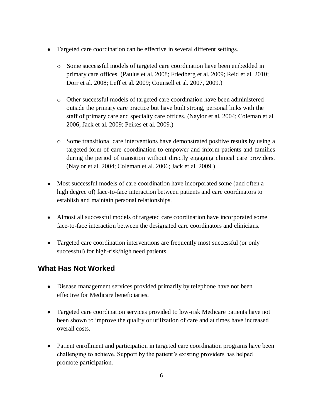- Targeted care coordination can be effective in several different settings.
	- o Some successful models of targeted care coordination have been embedded in primary care offices. (Paulus et al. 2008; Friedberg et al. 2009; Reid et al. 2010; Dorr et al. 2008; Leff et al. 2009; Counsell et al. 2007, 2009.)
	- o Other successful models of targeted care coordination have been administered outside the primary care practice but have built strong, personal links with the staff of primary care and specialty care offices. (Naylor et al. 2004; Coleman et al. 2006; Jack et al. 2009; Peikes et al. 2009.)
	- o Some transitional care interventions have demonstrated positive results by using a targeted form of care coordination to empower and inform patients and families during the period of transition without directly engaging clinical care providers. (Naylor et al. 2004; Coleman et al. 2006; Jack et al. 2009.)
- Most successful models of care coordination have incorporated some (and often a high degree of) face-to-face interaction between patients and care coordinators to establish and maintain personal relationships.
- Almost all successful models of targeted care coordination have incorporated some face-to-face interaction between the designated care coordinators and clinicians.
- Targeted care coordination interventions are frequently most successful (or only successful) for high-risk/high need patients.

#### **What Has Not Worked**

- Disease management services provided primarily by telephone have not been effective for Medicare beneficiaries.
- Targeted care coordination services provided to low-risk Medicare patients have not been shown to improve the quality or utilization of care and at times have increased overall costs.
- Patient enrollment and participation in targeted care coordination programs have been challenging to achieve. Support by the patient's existing providers has helped promote participation.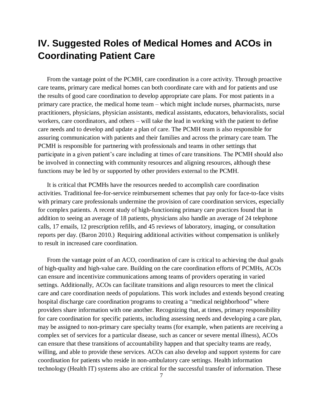# <span id="page-10-0"></span>**IV. Suggested Roles of Medical Homes and ACOs in Coordinating Patient Care**

From the vantage point of the PCMH, care coordination is a core activity. Through proactive care teams, primary care medical homes can both coordinate care with and for patients and use the results of good care coordination to develop appropriate care plans. For most patients in a primary care practice, the medical home team – which might include nurses, pharmacists, nurse practitioners, physicians, physician assistants, medical assistants, educators, behavioralists, social workers, care coordinators, and others – will take the lead in working with the patient to define care needs and to develop and update a plan of care. The PCMH team is also responsible for assuring communication with patients and their families and across the primary care team. The PCMH is responsible for partnering with professionals and teams in other settings that participate in a given patient's care including at times of care transitions. The PCMH should also be involved in connecting with community resources and aligning resources, although these functions may be led by or supported by other providers external to the PCMH.

It is critical that PCMHs have the resources needed to accomplish care coordination activities. Traditional fee-for-service reimbursement schemes that pay only for face-to-face visits with primary care professionals undermine the provision of care coordination services, especially for complex patients. A recent study of high-functioning primary care practices found that in addition to seeing an average of 18 patients, physicians also handle an average of 24 telephone calls, 17 emails, 12 prescription refills, and 45 reviews of laboratory, imaging, or consultation reports per day. (Baron 2010.) Requiring additional activities without compensation is unlikely to result in increased care coordination.

From the vantage point of an ACO, coordination of care is critical to achieving the dual goals of high-quality and high-value care. Building on the care coordination efforts of PCMHs, ACOs can ensure and incentivize communications among teams of providers operating in varied settings. Additionally, ACOs can facilitate transitions and align resources to meet the clinical care and care coordination needs of populations. This work includes and extends beyond creating hospital discharge care coordination programs to creating a "medical neighborhood" where providers share information with one another. Recognizing that, at times, primary responsibility for care coordination for specific patients, including assessing needs and developing a care plan, may be assigned to non-primary care specialty teams (for example, when patients are receiving a complex set of services for a particular disease, such as cancer or severe mental illness), ACOs can ensure that these transitions of accountability happen and that specialty teams are ready, willing, and able to provide these services. ACOs can also develop and support systems for care coordination for patients who reside in non-ambulatory care settings. Health information technology (Health IT) systems also are critical for the successful transfer of information. These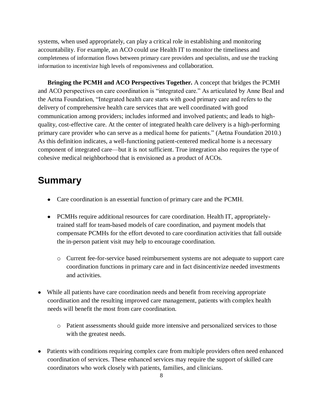systems, when used appropriately, can play a critical role in establishing and monitoring accountability. For example, an ACO could use Health IT to monitor the timeliness and completeness of information flows between primary care providers and specialists, and use the tracking information to incentivize high levels of responsiveness and collaboration.

**Bringing the PCMH and ACO Perspectives Together.** A concept that bridges the PCMH and ACO perspectives on care coordination is "integrated care." As articulated by Anne Beal and the Aetna Foundation, "Integrated health care starts with good primary care and refers to the delivery of comprehensive health care services that are well coordinated with good communication among providers; includes informed and involved patients; and leads to highquality, cost-effective care. At the center of integrated health care delivery is a high-performing primary care provider who can serve as a medical home for patients." (Aetna Foundation 2010.) As this definition indicates, a well-functioning patient-centered medical home is a necessary component of integrated care—but it is not sufficient. True integration also requires the type of cohesive medical neighborhood that is envisioned as a product of ACOs.

## <span id="page-11-0"></span>**Summary**

- Care coordination is an essential function of primary care and the PCMH.
- PCMHs require additional resources for care coordination. Health IT, appropriatelytrained staff for team-based models of care coordination, and payment models that compensate PCMHs for the effort devoted to care coordination activities that fall outside the in-person patient visit may help to encourage coordination.
	- o Current fee-for-service based reimbursement systems are not adequate to support care coordination functions in primary care and in fact disincentivize needed investments and activities.
- While all patients have care coordination needs and benefit from receiving appropriate coordination and the resulting improved care management, patients with complex health needs will benefit the most from care coordination.
	- o Patient assessments should guide more intensive and personalized services to those with the greatest needs.
- Patients with conditions requiring complex care from multiple providers often need enhanced coordination of services. These enhanced services may require the support of skilled care coordinators who work closely with patients, families, and clinicians.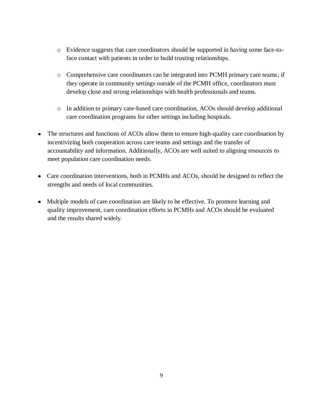- o Evidence suggests that care coordinators should be supported in having some face-toface contact with patients in order to build trusting relationships.
- o Comprehensive care coordinators can be integrated into PCMH primary care teams; if they operate in community settings outside of the PCMH office, coordinators must develop close and strong relationships with health professionals and teams.
- o In addition to primary care-based care coordination, ACOs should develop additional care coordination programs for other settings including hospitals.
- The structures and functions of ACOs allow them to ensure high-quality care coordination by incentivizing both cooperation across care teams and settings and the transfer of accountability and information. Additionally, ACOs are well suited to aligning resources to meet population care coordination needs.
- Care coordination interventions, both in PCMHs and ACOs, should be designed to reflect the strengths and needs of local communities.
- Multiple models of care coordination are likely to be effective. To promote learning and quality improvement, care coordination efforts in PCMHs and ACOs should be evaluated and the results shared widely.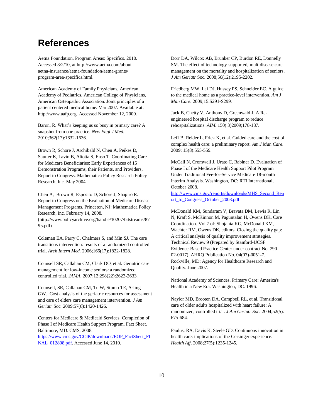### **References**

Aetna Foundation. Program Areas: Specifics. 2010. Accessed 8/2/10, at http://www.aetna.com/aboutaetna-insurance/aetna-foundation/aetna-grants/ program-area-specifics.html.

American Academy of Family Physicians, American Academy of Pediatrics, American College of Physicians, American Osteopathic Association. Joint principles of a patient centered medical home. Mar 2007. Available at: http://www.aafp.org. Accessed November 12, 2009.

Baron, R. What's keeping us so busy in primary care? A snapshot from one practice*. New Engl J Med.* 2010;362(17):1632-1636.

Brown R, Schore J, Archibald N, Chen A, Peikes D, Sautter K, Lavin B, Aliotta S, Enso T. Coordinating Care for Medicare Beneficiaries: Early Experiences of 15 Demonstration Programs, their Patients, and Providers, Report to Congress*.* Mathematica Policy Research Policy Research, Inc. May 2004.

Chen A, Brown R, Esposito D, Schore J, Shapiro R. Report to Congress on the Evaluation of Medicare Disease Management Programs. Princeton, NJ: Mathematica Policy Research, Inc. February 14, 2008. (http://www.policyarchive.org/handle/10207/bitstreams/87

95.pdf)

Coleman EA, Parry C, Chalmers S, and Min SJ. The care transitions intervention: results of a randomized controlled trial. *Arch Intern Med.* 2006;166(17):1822-1828.

Counsell SR, Callahan CM, Clark DO, et al. Geriatric care management for low-income seniors: a randomized controlled trial. *JAMA*. 2007;12;298(22):2623-2633.

Counsell, SR, Callahan CM, Tu W, Stump TE, Arling GW. Cost analysis of the geriatric resources for assessment and care of elders care management intervention*. J Am Geriatr* Soc*.* 2009;57(8):1420-1426.

Centers for Medicare & Medicaid Services. Completion of Phase I of Medicare Health Support Program. Fact Sheet. Baltimore, MD: CMS, 2008. [https://www.cms.gov/CCIP/downloads/EOP\\_FactSheet\\_FI](https://www.cms.gov/CCIP/downloads/EOP_FactSheet_FINAL_012808.pdf) [NAL\\_012808.pdf.](https://www.cms.gov/CCIP/downloads/EOP_FactSheet_FINAL_012808.pdf) Accessed June 14, 2010.

Dorr DA, Wilcox AB, Brunker CP, Burdon RE, Donnelly SM. The effect of technology-supported, multidisease care management on the mortality and hospitalization of seniors. *J Am Geriatr* Soc. 2008;56(12):2195-2202.

Friedberg MW, Lai DJ, Hussey PS, Schneider EC. A guide to the medical home as a practice-level intervention. *Am J Man Care*. 2009;15:S291-S299.

Jack B, Chetty V, Anthony D, Greenwald J. A Reengineered hospital discharge program to reduce rehospitalizations. *AIM*. 150( 3)2009;178-187.

Leff B, Reider L, Frick K, et al. Guided care and the cost of complex health care: a preliminary report. *Am J Man Care*. 2009; 15(8):555-559.

McCall N, Cromwell J, Urato C, Rabiner D. Evaluation of Phase I of the Medicare Health Support Pilot Program Under Traditional Fee-for-Service Medicare 18-month Interim Analysis. Washington, DC: RTI International, October 2008.

[http://www.cms.gov/reports/downloads/MHS\\_Second\\_Rep](http://www.cms.gov/reports/downloads/MHS_Second_Report_to_Congress_October_2008.pdf) [ort\\_to\\_Congress\\_October\\_2008.pdf.](http://www.cms.gov/reports/downloads/MHS_Second_Report_to_Congress_October_2008.pdf)

McDonald KM, Sundaram V, Bravata DM, Lewis R, Lin N, Kraft S, McKinnon M, Paguntalan H, Owens DK. Care Coordination. Vol 7 of: Shojania KG, McDonald KM, Wachter RM, Owens DK, editors. Closing the quality gap: A critical analysis of quality improvement strategies. Technical Review 9 (Prepared by Stanford-UCSF Evidence-Based Practice Center under contract No. 290- 02-0017). AHRQ Publication No. 04(07)-0051-7. Rockville, MD: Agency for Healthcare Research and Quality. June 2007.

National Academy of Sciences. Primary Care: America's Health in a New Era. Washington, DC. 1996.

Naylor MD, Brooten DA, Campbell RL, et al. Transitional care of older adults hospitalized with heart failure: A randomized, controlled trial. *J Am Geriatr Soc.* 2004;52(5): 675-684.

Paulus, RA, Davis K, Steele GD. Continuous innovation in health care: implications of the Geisinger experience. *Health Aff*. 2008;27(5):1235-1245.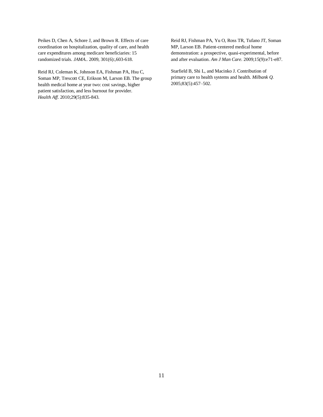Peikes D, Chen A, Schore J, and Brown R. Effects of care coordination on hospitalization, quality of care, and health care expenditures among medicare beneficiaries: 15 randomized trials. *JAMA*.. 2009, 301(6):,603-618.

Reid RJ, Coleman K, Johnson EA, Fishman PA, Hsu C, Soman MP, Trescott CE, Erikson M, Larson EB. The group health medical home at year two: cost savings, higher patient satisfaction, and less burnout for provider. *Health Aff.* 2010;29(5):835-843.

Reid RJ, Fishman PA, Yu O, Ross TR, Tufano JT, Soman MP, Larson EB. Patient-centered medical home demonstration: a prospective, quasi-experimental, before and after evaluation. *Am J Man Care*. 2009;15(9):e71-e87.

Starfield B, Shi L, and Macinko J. Contribution of primary care to health systems and health. *Milbank Q.* 2005;83(5):457–502.